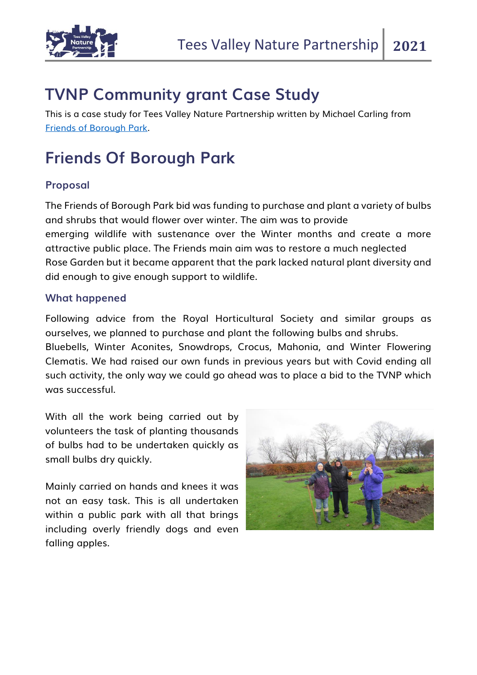

## **TVNP Community grant Case Study**

This is a case study for Tees Valley Nature Partnership written by Michael Carling from [Friends of Borough Park.](https://www.facebook.com/westdykeroses/)

## **Friends Of Borough Park**

## **Proposal**

The Friends of Borough Park bid was funding to purchase and plant a variety of bulbs and shrubs that would flower over winter. The aim was to provide emerging wildlife with sustenance over the Winter months and create a more attractive public place. The Friends main aim was to restore a much neglected Rose Garden but it became apparent that the park lacked natural plant diversity and did enough to give enough support to wildlife.

## **What happened**

Following advice from the Royal Horticultural Society and similar groups as ourselves, we planned to purchase and plant the following bulbs and shrubs. Bluebells, Winter Aconites, Snowdrops, Crocus, Mahonia, and Winter Flowering Clematis. We had raised our own funds in previous years but with Covid ending all such activity, the only way we could go ahead was to place a bid to the TVNP which was successful.

With all the work being carried out by volunteers the task of planting thousands of bulbs had to be undertaken quickly as small bulbs dry quickly.

Mainly carried on hands and knees it was not an easy task. This is all undertaken within a public park with all that brings including overly friendly dogs and even falling apples.